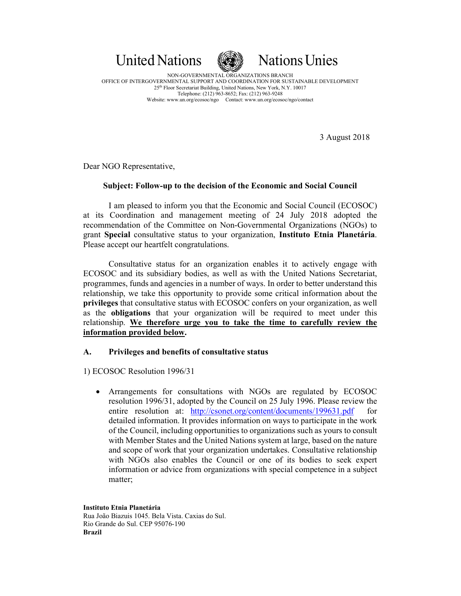



NON-GOVERNMENTAL ORGANIZATIONS BRANCH OFFICE OF INTERGOVERNMENTAL SUPPORT AND COORDINATION FOR SUSTAINABLE DEVELOPMENT 25th Floor Secretariat Building, United Nations, New York, N.Y. 10017 Telephone: (212) 963-8652; Fax: (212) 963-9248 Website: www.un.org/ecosoc/ngo Contact: www.un.org/ecosoc/ngo/contact

3 August 2018

Dear NGO Representative,

## **Subject: Follow-up to the decision of the Economic and Social Council**

I am pleased to inform you that the Economic and Social Council (ECOSOC) at its Coordination and management meeting of 24 July 2018 adopted the recommendation of the Committee on Non-Governmental Organizations (NGOs) to grant **Special** consultative status to your organization, **Instituto Etnia Planetária**. Please accept our heartfelt congratulations.

Consultative status for an organization enables it to actively engage with ECOSOC and its subsidiary bodies, as well as with the United Nations Secretariat, programmes, funds and agencies in a number of ways. In order to better understand this relationship, we take this opportunity to provide some critical information about the **privileges** that consultative status with ECOSOC confers on your organization, as well as the **obligations** that your organization will be required to meet under this relationship. **We therefore urge you to take the time to carefully review the information provided below.** 

## **A. Privileges and benefits of consultative status**

1) ECOSOC Resolution 1996/31

• Arrangements for consultations with NGOs are regulated by ECOSOC resolution 1996/31, adopted by the Council on 25 July 1996. Please review the entire resolution at: http://csonet.org/content/documents/199631.pdf for detailed information. It provides information on ways to participate in the work of the Council, including opportunities to organizations such as yours to consult with Member States and the United Nations system at large, based on the nature and scope of work that your organization undertakes. Consultative relationship with NGOs also enables the Council or one of its bodies to seek expert information or advice from organizations with special competence in a subject matter;

**Instituto Etnia Planetária**  Rua João Biazuis 1045. Bela Vista. Caxias do Sul. Rio Grande do Sul. CEP 95076-190 **Brazil**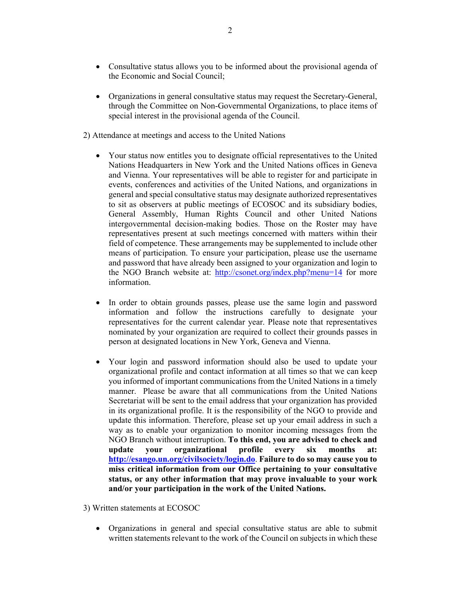- Consultative status allows you to be informed about the provisional agenda of the Economic and Social Council;
- Organizations in general consultative status may request the Secretary-General, through the Committee on Non-Governmental Organizations, to place items of special interest in the provisional agenda of the Council.
- 2) Attendance at meetings and access to the United Nations
	- Your status now entitles you to designate official representatives to the United Nations Headquarters in New York and the United Nations offices in Geneva and Vienna. Your representatives will be able to register for and participate in events, conferences and activities of the United Nations, and organizations in general and special consultative status may designate authorized representatives to sit as observers at public meetings of ECOSOC and its subsidiary bodies, General Assembly, Human Rights Council and other United Nations intergovernmental decision-making bodies. Those on the Roster may have representatives present at such meetings concerned with matters within their field of competence. These arrangements may be supplemented to include other means of participation. To ensure your participation, please use the username and password that have already been assigned to your organization and login to the NGO Branch website at: http://csonet.org/index.php?menu=14 for more information.
	- In order to obtain grounds passes, please use the same login and password information and follow the instructions carefully to designate your representatives for the current calendar year. Please note that representatives nominated by your organization are required to collect their grounds passes in person at designated locations in New York, Geneva and Vienna.
	- Your login and password information should also be used to update your organizational profile and contact information at all times so that we can keep you informed of important communications from the United Nations in a timely manner. Please be aware that all communications from the United Nations Secretariat will be sent to the email address that your organization has provided in its organizational profile. It is the responsibility of the NGO to provide and update this information. Therefore, please set up your email address in such a way as to enable your organization to monitor incoming messages from the NGO Branch without interruption. **To this end, you are advised to check and update your organizational profile every six months at: http://esango.un.org/civilsociety/login.do**. **Failure to do so may cause you to miss critical information from our Office pertaining to your consultative status, or any other information that may prove invaluable to your work and/or your participation in the work of the United Nations.**
- 3) Written statements at ECOSOC
	- Organizations in general and special consultative status are able to submit written statements relevant to the work of the Council on subjects in which these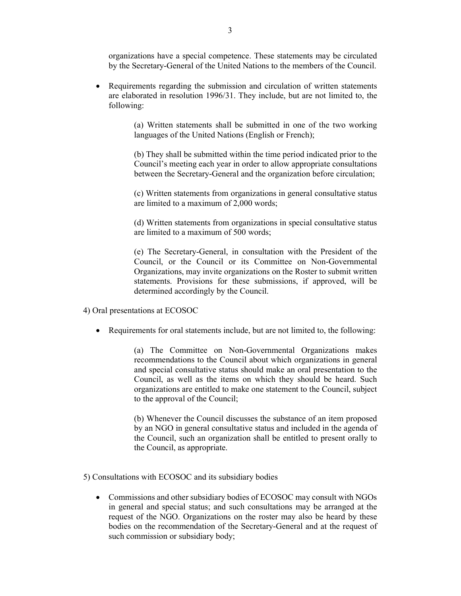organizations have a special competence. These statements may be circulated by the Secretary-General of the United Nations to the members of the Council.

• Requirements regarding the submission and circulation of written statements are elaborated in resolution 1996/31. They include, but are not limited to, the following:

> (a) Written statements shall be submitted in one of the two working languages of the United Nations (English or French);

> (b) They shall be submitted within the time period indicated prior to the Council's meeting each year in order to allow appropriate consultations between the Secretary-General and the organization before circulation;

> (c) Written statements from organizations in general consultative status are limited to a maximum of 2,000 words;

> (d) Written statements from organizations in special consultative status are limited to a maximum of 500 words;

> (e) The Secretary-General, in consultation with the President of the Council, or the Council or its Committee on Non-Governmental Organizations, may invite organizations on the Roster to submit written statements. Provisions for these submissions, if approved, will be determined accordingly by the Council.

4) Oral presentations at ECOSOC

• Requirements for oral statements include, but are not limited to, the following:

(a) The Committee on Non-Governmental Organizations makes recommendations to the Council about which organizations in general and special consultative status should make an oral presentation to the Council, as well as the items on which they should be heard. Such organizations are entitled to make one statement to the Council, subject to the approval of the Council;

(b) Whenever the Council discusses the substance of an item proposed by an NGO in general consultative status and included in the agenda of the Council, such an organization shall be entitled to present orally to the Council, as appropriate.

5) Consultations with ECOSOC and its subsidiary bodies

• Commissions and other subsidiary bodies of ECOSOC may consult with NGOs in general and special status; and such consultations may be arranged at the request of the NGO. Organizations on the roster may also be heard by these bodies on the recommendation of the Secretary-General and at the request of such commission or subsidiary body;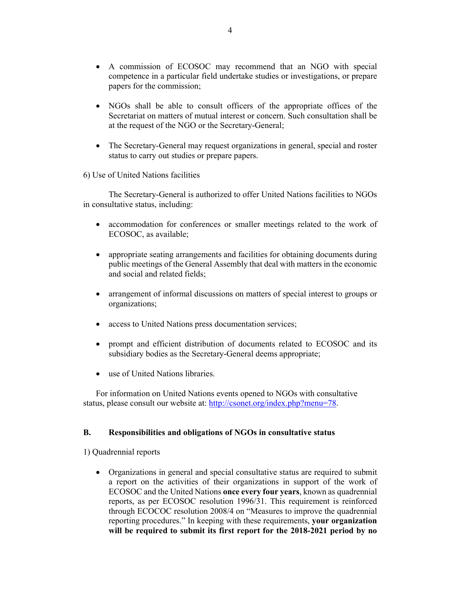- A commission of ECOSOC may recommend that an NGO with special competence in a particular field undertake studies or investigations, or prepare papers for the commission;
- NGOs shall be able to consult officers of the appropriate offices of the Secretariat on matters of mutual interest or concern. Such consultation shall be at the request of the NGO or the Secretary-General;
- The Secretary-General may request organizations in general, special and roster status to carry out studies or prepare papers.

6) Use of United Nations facilities

The Secretary-General is authorized to offer United Nations facilities to NGOs in consultative status, including:

- accommodation for conferences or smaller meetings related to the work of ECOSOC, as available;
- appropriate seating arrangements and facilities for obtaining documents during public meetings of the General Assembly that deal with matters in the economic and social and related fields;
- arrangement of informal discussions on matters of special interest to groups or organizations;
- access to United Nations press documentation services;
- prompt and efficient distribution of documents related to ECOSOC and its subsidiary bodies as the Secretary-General deems appropriate;
- use of United Nations libraries.

For information on United Nations events opened to NGOs with consultative status, please consult our website at: http://csonet.org/index.php?menu=78.

## **B. Responsibilities and obligations of NGOs in consultative status**

1) Quadrennial reports

• Organizations in general and special consultative status are required to submit a report on the activities of their organizations in support of the work of ECOSOC and the United Nations **once every four years**, known as quadrennial reports, as per ECOSOC resolution 1996/31. This requirement is reinforced through ECOCOC resolution 2008/4 on "Measures to improve the quadrennial reporting procedures." In keeping with these requirements, **your organization will be required to submit its first report for the 2018-2021 period by no**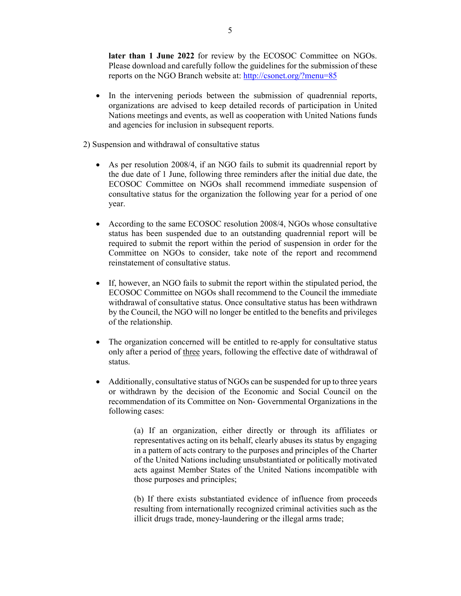**later than 1 June 2022** for review by the ECOSOC Committee on NGOs. Please download and carefully follow the guidelines for the submission of these reports on the NGO Branch website at: http://csonet.org/?menu=85

In the intervening periods between the submission of quadrennial reports, organizations are advised to keep detailed records of participation in United Nations meetings and events, as well as cooperation with United Nations funds and agencies for inclusion in subsequent reports.

2) Suspension and withdrawal of consultative status

- As per resolution 2008/4, if an NGO fails to submit its quadrennial report by the due date of 1 June, following three reminders after the initial due date, the ECOSOC Committee on NGOs shall recommend immediate suspension of consultative status for the organization the following year for a period of one year.
- According to the same ECOSOC resolution 2008/4, NGOs whose consultative status has been suspended due to an outstanding quadrennial report will be required to submit the report within the period of suspension in order for the Committee on NGOs to consider, take note of the report and recommend reinstatement of consultative status.
- If, however, an NGO fails to submit the report within the stipulated period, the ECOSOC Committee on NGOs shall recommend to the Council the immediate withdrawal of consultative status. Once consultative status has been withdrawn by the Council, the NGO will no longer be entitled to the benefits and privileges of the relationship.
- The organization concerned will be entitled to re-apply for consultative status only after a period of three years, following the effective date of withdrawal of status.
- Additionally, consultative status of NGOs can be suspended for up to three years or withdrawn by the decision of the Economic and Social Council on the recommendation of its Committee on Non- Governmental Organizations in the following cases:

(a) If an organization, either directly or through its affiliates or representatives acting on its behalf, clearly abuses its status by engaging in a pattern of acts contrary to the purposes and principles of the Charter of the United Nations including unsubstantiated or politically motivated acts against Member States of the United Nations incompatible with those purposes and principles;

(b) If there exists substantiated evidence of influence from proceeds resulting from internationally recognized criminal activities such as the illicit drugs trade, money-laundering or the illegal arms trade;